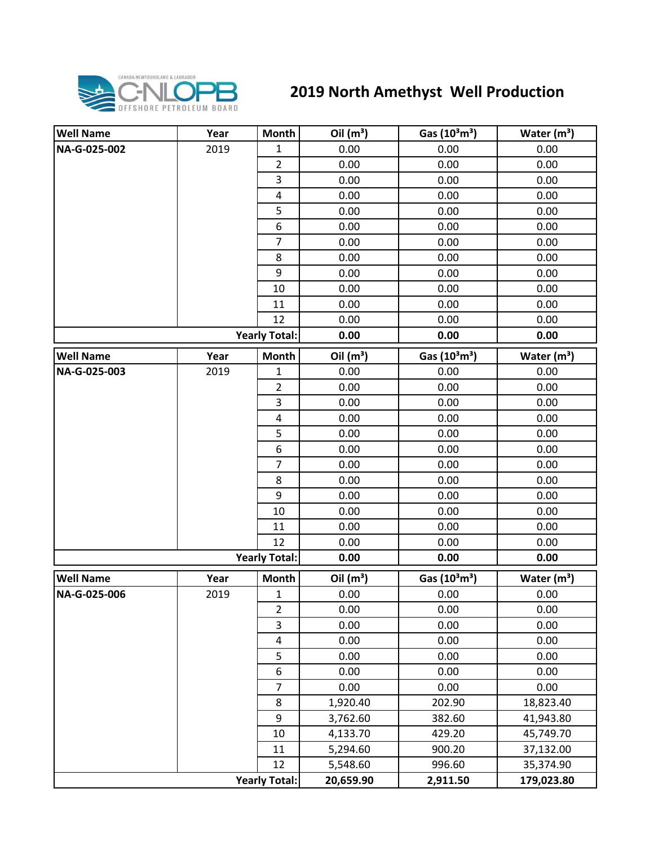

## **2019 North Amethyst Well Production**

| <b>Well Name</b>     | Year | <b>Month</b>            | Oil $(m^3)$ | Gas $(10^3 \text{m}^3)$               | Water $(m^3)$ |
|----------------------|------|-------------------------|-------------|---------------------------------------|---------------|
| NA-G-025-002         | 2019 | $\mathbf{1}$            | 0.00        | 0.00                                  | 0.00          |
|                      |      | $\overline{2}$          | 0.00        | 0.00                                  | 0.00          |
|                      |      | 3                       | 0.00        | 0.00                                  | 0.00          |
|                      |      | $\pmb{4}$               | 0.00        | 0.00                                  | 0.00          |
|                      |      | 5                       | 0.00        | 0.00                                  | 0.00          |
|                      |      | $\boldsymbol{6}$        | 0.00        | 0.00                                  | 0.00          |
|                      |      | $\overline{7}$          | 0.00        | 0.00                                  | 0.00          |
|                      |      | 8                       | 0.00        | 0.00                                  | 0.00          |
|                      |      | 9                       | 0.00        | 0.00                                  | 0.00          |
|                      |      | 10                      | 0.00        | 0.00                                  | 0.00          |
|                      |      | 11                      | 0.00        | 0.00                                  | 0.00          |
|                      |      | 12                      | 0.00        | 0.00                                  | 0.00          |
|                      |      | <b>Yearly Total:</b>    | 0.00        | 0.00                                  | 0.00          |
| <b>Well Name</b>     | Year | <b>Month</b>            | Oil $(m^3)$ | Gas $(10^3 \text{m}^3)$               | Water $(m^3)$ |
| NA-G-025-003         | 2019 | $\mathbf{1}$            | 0.00        | 0.00                                  | 0.00          |
|                      |      | $\overline{2}$          | 0.00        | 0.00                                  | 0.00          |
|                      |      | 3                       | 0.00        | 0.00                                  | 0.00          |
|                      |      | $\overline{\mathbf{4}}$ | 0.00        | 0.00                                  | 0.00          |
|                      |      | 5                       | 0.00        | 0.00                                  | 0.00          |
|                      |      | 6                       | 0.00        | 0.00                                  | 0.00          |
|                      |      | $\overline{7}$          | 0.00        | 0.00                                  | 0.00          |
|                      |      | 8                       | 0.00        | 0.00                                  | 0.00          |
|                      |      | 9                       | 0.00        | 0.00                                  | 0.00          |
|                      |      | 10                      | 0.00        | 0.00                                  | 0.00          |
|                      |      | 11                      | 0.00        | 0.00                                  | 0.00          |
|                      |      | 12                      | 0.00        | 0.00                                  | 0.00          |
| <b>Yearly Total:</b> |      |                         | 0.00        | 0.00                                  | 0.00          |
| <b>Well Name</b>     | Year | <b>Month</b>            | Oil $(m^3)$ | Gas (10 <sup>3</sup> m <sup>3</sup> ) | Water $(m3)$  |
| NA-G-025-006         | 2019 | $\mathbf{1}$            | 0.00        | 0.00                                  | 0.00          |
|                      |      | $\overline{2}$          | 0.00        | 0.00                                  | 0.00          |
|                      |      | 3                       | 0.00        | 0.00                                  | 0.00          |
|                      |      | $\pmb{4}$               | 0.00        | 0.00                                  | 0.00          |
|                      |      | 5                       | 0.00        | 0.00                                  | 0.00          |
|                      |      | $\boldsymbol{6}$        | 0.00        | 0.00                                  | 0.00          |
|                      |      | $\overline{7}$          | 0.00        | 0.00                                  | 0.00          |
|                      |      | 8                       | 1,920.40    | 202.90                                | 18,823.40     |
|                      |      | 9                       | 3,762.60    | 382.60                                | 41,943.80     |
|                      |      | 10                      | 4,133.70    | 429.20                                | 45,749.70     |
|                      |      | 11                      | 5,294.60    | 900.20                                | 37,132.00     |
|                      |      | 12                      | 5,548.60    | 996.60                                | 35,374.90     |
|                      |      | <b>Yearly Total:</b>    | 20,659.90   | 2,911.50                              | 179,023.80    |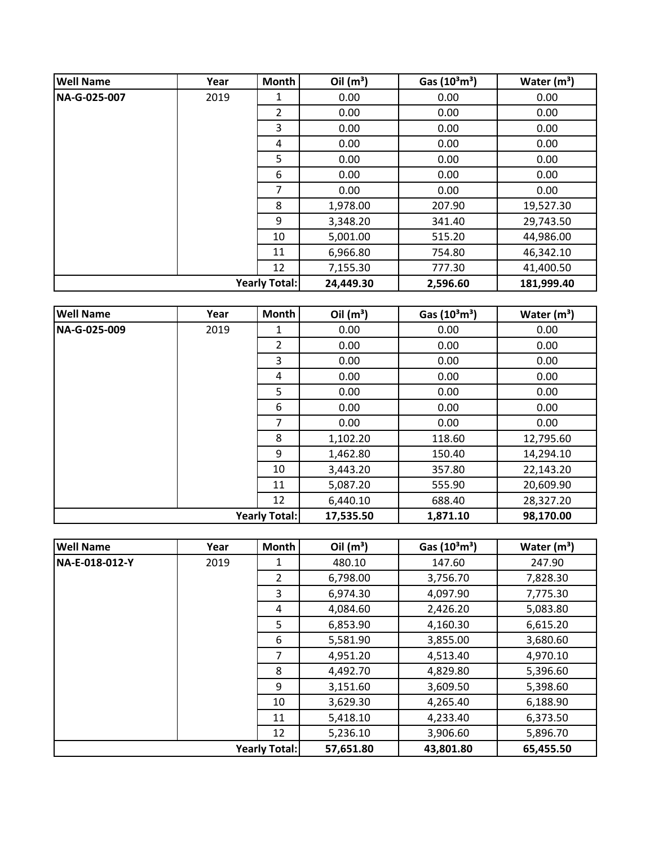| <b>Well Name</b>     | Year | <b>Month</b> | Oil $(m^3)$ | Gas $(10^3 \text{m}^3)$ | Water $(m^3)$ |
|----------------------|------|--------------|-------------|-------------------------|---------------|
| NA-G-025-007         | 2019 | 1            | 0.00        | 0.00                    | 0.00          |
|                      |      | 2            | 0.00        | 0.00                    | 0.00          |
|                      |      | 3            | 0.00        | 0.00                    | 0.00          |
|                      |      | 4            | 0.00        | 0.00                    | 0.00          |
|                      |      | 5            | 0.00        | 0.00                    | 0.00          |
|                      |      | 6            | 0.00        | 0.00                    | 0.00          |
|                      |      | 7            | 0.00        | 0.00                    | 0.00          |
|                      |      | 8            | 1,978.00    | 207.90                  | 19,527.30     |
|                      |      | 9            | 3,348.20    | 341.40                  | 29,743.50     |
|                      |      | 10           | 5,001.00    | 515.20                  | 44,986.00     |
|                      |      | 11           | 6,966.80    | 754.80                  | 46,342.10     |
|                      |      | 12           | 7,155.30    | 777.30                  | 41,400.50     |
| <b>Yearly Total:</b> |      |              | 24,449.30   | 2,596.60                | 181,999.40    |

| <b>Well Name</b>     | Year | Month | Oil $(m^3)$ | Gas $(10^3 \text{m}^3)$ | Water $(m^3)$ |
|----------------------|------|-------|-------------|-------------------------|---------------|
| NA-G-025-009         | 2019 | 1     | 0.00        | 0.00                    | 0.00          |
|                      |      | 2     | 0.00        | 0.00                    | 0.00          |
|                      |      | 3     | 0.00        | 0.00                    | 0.00          |
|                      |      | 4     | 0.00        | 0.00                    | 0.00          |
|                      |      | 5     | 0.00        | 0.00                    | 0.00          |
|                      |      | 6     | 0.00        | 0.00                    | 0.00          |
|                      |      | 7     | 0.00        | 0.00                    | 0.00          |
|                      |      | 8     | 1,102.20    | 118.60                  | 12,795.60     |
|                      |      | 9     | 1,462.80    | 150.40                  | 14,294.10     |
|                      |      | 10    | 3,443.20    | 357.80                  | 22,143.20     |
|                      |      | 11    | 5,087.20    | 555.90                  | 20,609.90     |
|                      |      | 12    | 6,440.10    | 688.40                  | 28,327.20     |
| <b>Yearly Total:</b> |      |       | 17,535.50   | 1,871.10                | 98,170.00     |

| <b>Well Name</b>     | Year | <b>Month</b>   | Oil $(m^3)$ | Gas $(10^3 \text{m}^3)$ | Water $(m^3)$ |
|----------------------|------|----------------|-------------|-------------------------|---------------|
| NA-E-018-012-Y       | 2019 |                | 480.10      | 147.60                  | 247.90        |
|                      |      | $\overline{2}$ | 6,798.00    | 3,756.70                | 7,828.30      |
|                      |      | 3              | 6,974.30    | 4,097.90                | 7,775.30      |
|                      |      | 4              | 4,084.60    | 2,426.20                | 5,083.80      |
|                      |      | 5              | 6,853.90    | 4,160.30                | 6,615.20      |
|                      |      | 6              | 5,581.90    | 3,855.00                | 3,680.60      |
|                      |      | 7              | 4,951.20    | 4,513.40                | 4,970.10      |
|                      |      | 8              | 4,492.70    | 4,829.80                | 5,396.60      |
|                      |      | 9              | 3,151.60    | 3,609.50                | 5,398.60      |
|                      |      | 10             | 3,629.30    | 4,265.40                | 6,188.90      |
|                      |      | 11             | 5,418.10    | 4,233.40                | 6,373.50      |
|                      |      | 12             | 5,236.10    | 3,906.60                | 5,896.70      |
| <b>Yearly Total:</b> |      |                | 57,651.80   | 43,801.80               | 65,455.50     |